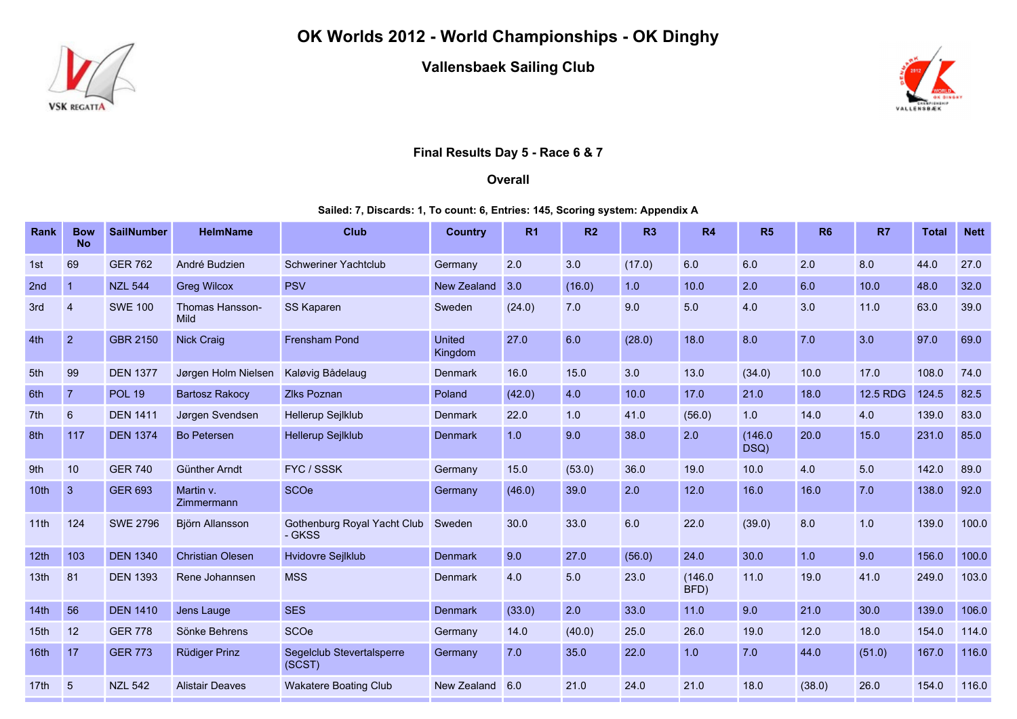

OK Worlds 2012 - World Championships - OK Dinghy

Vallensbaek Sailing Club



## Final Results Day 5 - Race 6 & 7

## **Overall**

## Sailed: 7, Discards: 1, To count: 6, Entries: 145, Scoring system: Appendix A

| <b>Rank</b> | <b>Bow</b><br><b>No</b> | <b>SailNumber</b> | <b>HelmName</b>                | <b>Club</b>                           | <b>Country</b>    | R <sub>1</sub> | R2     | R <sub>3</sub> | <b>R4</b>       | R5              | R <sub>6</sub> | R7       | <b>Total</b> | <b>Nett</b> |
|-------------|-------------------------|-------------------|--------------------------------|---------------------------------------|-------------------|----------------|--------|----------------|-----------------|-----------------|----------------|----------|--------------|-------------|
| 1st         | 69                      | <b>GER 762</b>    | André Budzien                  | <b>Schweriner Yachtclub</b>           | Germany           | 2.0            | 3.0    | (17.0)         | 6.0             | 6.0             | 2.0            | 8.0      | 44.0         | 27.0        |
| 2nd         | $\mathbf{1}$            | <b>NZL 544</b>    | <b>Greg Wilcox</b>             | <b>PSV</b>                            | New Zealand       | 3.0            | (16.0) | 1.0            | 10.0            | 2.0             | 6.0            | 10.0     | 48.0         | 32.0        |
| 3rd         | $\overline{4}$          | <b>SWE 100</b>    | Thomas Hansson-<br><b>Mild</b> | <b>SS Kaparen</b>                     | Sweden            | (24.0)         | 7.0    | 9.0            | 5.0             | 4.0             | 3.0            | 11.0     | 63.0         | 39.0        |
| 4th         | $\overline{2}$          | <b>GBR 2150</b>   | Nick Craig                     | <b>Frensham Pond</b>                  | United<br>Kingdom | 27.0           | 6.0    | (28.0)         | 18.0            | 8.0             | 7.0            | 3.0      | 97.0         | 69.0        |
| 5th         | 99                      | <b>DEN 1377</b>   | Jørgen Holm Nielsen            | Kaløvig Bådelaug                      | <b>Denmark</b>    | 16.0           | 15.0   | 3.0            | 13.0            | (34.0)          | 10.0           | 17.0     | 108.0        | 74.0        |
| 6th         | $\overline{7}$          | <b>POL 19</b>     | <b>Bartosz Rakocy</b>          | <b>Zlks Poznan</b>                    | Poland            | (42.0)         | 4.0    | 10.0           | 17.0            | 21.0            | 18.0           | 12.5 RDG | 124.5        | 82.5        |
| 7th         | $6\phantom{1}$          | <b>DEN 1411</b>   | Jørgen Svendsen                | Hellerup Sejlklub                     | <b>Denmark</b>    | 22.0           | 1.0    | 41.0           | (56.0)          | 1.0             | 14.0           | 4.0      | 139.0        | 83.0        |
| 8th         | 117                     | <b>DEN 1374</b>   | <b>Bo Petersen</b>             | Hellerup Sejlklub                     | <b>Denmark</b>    | 1.0            | 9.0    | 38.0           | 2.0             | (146.0)<br>DSQ) | 20.0           | 15.0     | 231.0        | 85.0        |
| 9th         | 10                      | <b>GER 740</b>    | Günther Arndt                  | FYC / SSSK                            | Germany           | 15.0           | (53.0) | 36.0           | 19.0            | 10.0            | 4.0            | 5.0      | 142.0        | 89.0        |
| 10th        | $\mathbf{3}$            | <b>GER 693</b>    | Martin v.<br>Zimmermann        | SCOe                                  | Germany           | (46.0)         | 39.0   | 2.0            | 12.0            | 16.0            | 16.0           | 7.0      | 138.0        | 92.0        |
| 11th        | 124                     | <b>SWE 2796</b>   | Björn Allansson                | Gothenburg Royal Yacht Club<br>- GKSS | Sweden            | 30.0           | 33.0   | 6.0            | 22.0            | (39.0)          | 8.0            | 1.0      | 139.0        | 100.0       |
| 12th        | 103                     | <b>DEN 1340</b>   | <b>Christian Olesen</b>        | Hvidovre Sejlklub                     | <b>Denmark</b>    | 9.0            | 27.0   | (56.0)         | 24.0            | 30.0            | 1.0            | 9.0      | 156.0        | 100.0       |
| 13th        | 81                      | <b>DEN 1393</b>   | Rene Johannsen                 | <b>MSS</b>                            | Denmark           | 4.0            | 5.0    | 23.0           | (146.0)<br>BFD) | 11.0            | 19.0           | 41.0     | 249.0        | 103.0       |
| 14th        | 56                      | <b>DEN 1410</b>   | Jens Lauge                     | <b>SES</b>                            | <b>Denmark</b>    | (33.0)         | 2.0    | 33.0           | 11.0            | 9.0             | 21.0           | 30.0     | 139.0        | 106.0       |
| 15th        | 12                      | <b>GER 778</b>    | Sönke Behrens                  | SCOe                                  | Germany           | 14.0           | (40.0) | 25.0           | 26.0            | 19.0            | 12.0           | 18.0     | 154.0        | 114.0       |
| 16th        | 17                      | <b>GER 773</b>    | Rüdiger Prinz                  | Segelclub Stevertalsperre<br>(SCST)   | Germany           | 7.0            | 35.0   | 22.0           | 1.0             | 7.0             | 44.0           | (51.0)   | 167.0        | 116.0       |
| 17th        | $5\overline{)}$         | <b>NZL 542</b>    | <b>Alistair Deaves</b>         | <b>Wakatere Boating Club</b>          | New Zealand       | 6.0            | 21.0   | 24.0           | 21.0            | 18.0            | (38.0)         | 26.0     | 154.0        | 116.0       |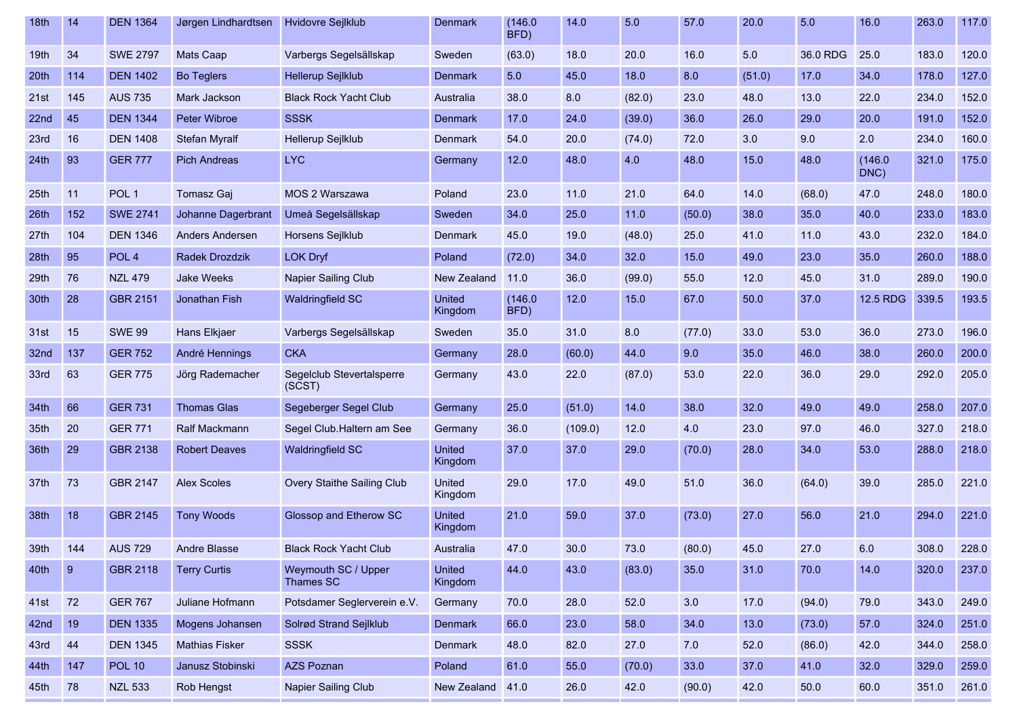| 18th             | 14  | <b>DEN 1364</b>  | Jørgen Lindhardtsen    | Hvidovre Sejlklub                   | Denmark                  | (146.0)<br>BFD) | 14.0    | 5.0    | 57.0   | 20.0   | 5.0      | 16.0            | 263.0 | 117.0 |
|------------------|-----|------------------|------------------------|-------------------------------------|--------------------------|-----------------|---------|--------|--------|--------|----------|-----------------|-------|-------|
| 19th             | 34  | <b>SWE 2797</b>  | Mats Caap              | Varbergs Segelsällskap              | Sweden                   | (63.0)          | 18.0    | 20.0   | 16.0   | 5.0    | 36.0 RDG | 25.0            | 183.0 | 120.0 |
| 20th             | 114 | <b>DEN 1402</b>  | <b>Bo Teglers</b>      | Hellerup Sejlklub                   | Denmark                  | 5.0             | 45.0    | 18.0   | 8.0    | (51.0) | 17.0     | 34.0            | 178.0 | 127.0 |
| 21st             | 145 | <b>AUS 735</b>   | Mark Jackson           | <b>Black Rock Yacht Club</b>        | Australia                | 38.0            | 8.0     | (82.0) | 23.0   | 48.0   | 13.0     | 22.0            | 234.0 | 152.0 |
| 22 <sub>nd</sub> | 45  | <b>DEN 1344</b>  | Peter Wibroe           | <b>SSSK</b>                         | Denmark                  | 17.0            | 24.0    | (39.0) | 36.0   | 26.0   | 29.0     | 20.0            | 191.0 | 152.0 |
| 23rd             | 16  | <b>DEN 1408</b>  | <b>Stefan Myralf</b>   | Hellerup Sejlklub                   | Denmark                  | 54.0            | 20.0    | (74.0) | 72.0   | 3.0    | 9.0      | 2.0             | 234.0 | 160.0 |
| 24th             | 93  | <b>GER 777</b>   | <b>Pich Andreas</b>    | <b>LYC</b>                          | Germany                  | 12.0            | 48.0    | 4.0    | 48.0   | 15.0   | 48.0     | (146.0)<br>DNC) | 321.0 | 175.0 |
| 25th             | 11  | POL <sub>1</sub> | Tomasz Gaj             | MOS 2 Warszawa                      | Poland                   | 23.0            | 11.0    | 21.0   | 64.0   | 14.0   | (68.0)   | 47.0            | 248.0 | 180.0 |
| 26th             | 152 | <b>SWE 2741</b>  | Johanne Dagerbrant     | Umeå Segelsällskap                  | Sweden                   | 34.0            | 25.0    | 11.0   | (50.0) | 38.0   | 35.0     | 40.0            | 233.0 | 183.0 |
| 27th             | 104 | <b>DEN 1346</b>  | <b>Anders Andersen</b> | Horsens Sejlklub                    | Denmark                  | 45.0            | 19.0    | (48.0) | 25.0   | 41.0   | 11.0     | 43.0            | 232.0 | 184.0 |
| 28th             | 95  | POL <sub>4</sub> | Radek Drozdzik         | <b>LOK Dryf</b>                     | Poland                   | (72.0)          | 34.0    | 32.0   | 15.0   | 49.0   | 23.0     | 35.0            | 260.0 | 188.0 |
| 29th             | 76  | <b>NZL 479</b>   | <b>Jake Weeks</b>      | Napier Sailing Club                 | New Zealand              | 11.0            | 36.0    | (99.0) | 55.0   | 12.0   | 45.0     | 31.0            | 289.0 | 190.0 |
| 30th             | 28  | <b>GBR 2151</b>  | Jonathan Fish          | <b>Waldringfield SC</b>             | <b>United</b><br>Kingdom | (146.0)<br>BFD) | 12.0    | 15.0   | 67.0   | 50.0   | 37.0     | 12.5 RDG        | 339.5 | 193.5 |
| 31st             | 15  | <b>SWE 99</b>    | Hans Elkjaer           | Varbergs Segelsällskap              | Sweden                   | 35.0            | 31.0    | 8.0    | (77.0) | 33.0   | 53.0     | 36.0            | 273.0 | 196.0 |
| 32nd             | 137 | <b>GER 752</b>   | André Hennings         | <b>CKA</b>                          | Germany                  | 28.0            | (60.0)  | 44.0   | 9.0    | 35.0   | 46.0     | 38.0            | 260.0 | 200.0 |
| 33rd             | 63  | <b>GER 775</b>   | Jörg Rademacher        | Segelclub Stevertalsperre<br>(SCST) | Germany                  | 43.0            | 22.0    | (87.0) | 53.0   | 22.0   | 36.0     | 29.0            | 292.0 | 205.0 |
| 34th             | 66  | <b>GER 731</b>   | <b>Thomas Glas</b>     | Segeberger Segel Club               | Germany                  | 25.0            | (51.0)  | 14.0   | 38.0   | 32.0   | 49.0     | 49.0            | 258.0 | 207.0 |
| 35th             | 20  | <b>GER 771</b>   | <b>Ralf Mackmann</b>   | Segel Club. Haltern am See          | Germany                  | 36.0            | (109.0) | 12.0   | 4.0    | 23.0   | 97.0     | 46.0            | 327.0 | 218.0 |
| 36th             | 29  | <b>GBR 2138</b>  | <b>Robert Deaves</b>   | Waldringfield SC                    | <b>United</b><br>Kingdom | 37.0            | 37.0    | 29.0   | (70.0) | 28.0   | 34.0     | 53.0            | 288.0 | 218.0 |
| 37th             | 73  | <b>GBR 2147</b>  | <b>Alex Scoles</b>     | Overy Staithe Sailing Club          | United<br>Kingdom        | 29.0            | 17.0    | 49.0   | 51.0   | 36.0   | (64.0)   | 39.0            | 285.0 | 221.0 |
| 38th             | 18  | <b>GBR 2145</b>  | <b>Tony Woods</b>      | Glossop and Etherow SC              | <b>United</b><br>Kingdom | 21.0            | 59.0    | 37.0   | (73.0) | 27.0   | 56.0     | 21.0            | 294.0 | 221.0 |
| 39th             | 144 | <b>AUS 729</b>   | Andre Blasse           | <b>Black Rock Yacht Club</b>        | Australia                | 47.0            | 30.0    | 73.0   | (80.0) | 45.0   | 27.0     | 6.0             | 308.0 | 228.0 |
| 40th             | 9   | <b>GBR 2118</b>  | <b>Terry Curtis</b>    | Weymouth SC / Upper<br>Thames SC    | United<br>Kingdom        | 44.0            | 43.0    | (83.0) | 35.0   | 31.0   | 70.0     | 14.0            | 320.0 | 237.0 |
| 41st             | 72  | <b>GER 767</b>   | Juliane Hofmann        | Potsdamer Seglerverein e.V.         | Germany                  | 70.0            | 28.0    | 52.0   | 3.0    | 17.0   | (94.0)   | 79.0            | 343.0 | 249.0 |
| 42nd             | 19  | <b>DEN 1335</b>  | Mogens Johansen        | Solrød Strand Sejlklub              | Denmark                  | 66.0            | 23.0    | 58.0   | 34.0   | 13.0   | (73.0)   | 57.0            | 324.0 | 251.0 |
| 43rd             | 44  | <b>DEN 1345</b>  | <b>Mathias Fisker</b>  | <b>SSSK</b>                         | Denmark                  | 48.0            | 82.0    | 27.0   | 7.0    | 52.0   | (86.0)   | 42.0            | 344.0 | 258.0 |
| 44th             | 147 | <b>POL 10</b>    | Janusz Stobinski       | AZS Poznan                          | Poland                   | 61.0            | 55.0    | (70.0) | 33.0   | 37.0   | 41.0     | 32.0            | 329.0 | 259.0 |
| 45th             | 78  | <b>NZL 533</b>   | Rob Hengst             | Napier Sailing Club                 | New Zealand              | 41.0            | 26.0    | 42.0   | (90.0) | 42.0   | 50.0     | 60.0            | 351.0 | 261.0 |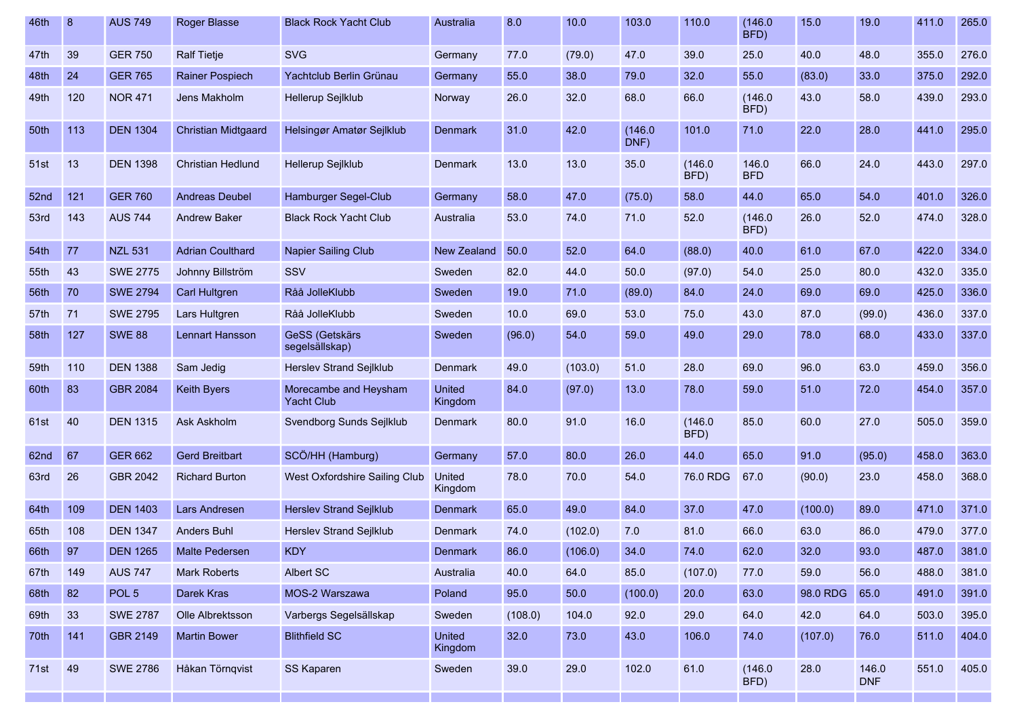| 46th | 8    | <b>AUS 749</b>   | <b>Roger Blasse</b>        | <b>Black Rock Yacht Club</b>               | Australia                | 8.0     | 10.0    | 103.0           | 110.0           | (146.0)<br>BFD)     | 15.0     | 19.0                | 411.0 | 265.0 |
|------|------|------------------|----------------------------|--------------------------------------------|--------------------------|---------|---------|-----------------|-----------------|---------------------|----------|---------------------|-------|-------|
| 47th | 39   | <b>GER 750</b>   | <b>Ralf Tietje</b>         | <b>SVG</b>                                 | Germany                  | 77.0    | (79.0)  | 47.0            | 39.0            | 25.0                | 40.0     | 48.0                | 355.0 | 276.0 |
| 48th | 24   | <b>GER 765</b>   | <b>Rainer Pospiech</b>     | Yachtclub Berlin Grünau                    | Germany                  | 55.0    | 38.0    | 79.0            | 32.0            | 55.0                | (83.0)   | 33.0                | 375.0 | 292.0 |
| 49th | 120  | <b>NOR 471</b>   | Jens Makholm               | Hellerup Sejlklub                          | Norway                   | 26.0    | 32.0    | 68.0            | 66.0            | (146.0)<br>BFD)     | 43.0     | 58.0                | 439.0 | 293.0 |
| 50th | 113  | <b>DEN 1304</b>  | <b>Christian Midtgaard</b> | Helsingør Amatør Sejlklub                  | <b>Denmark</b>           | 31.0    | 42.0    | (146.0)<br>DNF) | 101.0           | 71.0                | 22.0     | 28.0                | 441.0 | 295.0 |
| 51st | 13   | <b>DEN 1398</b>  | <b>Christian Hedlund</b>   | Hellerup Sejlklub                          | Denmark                  | 13.0    | 13.0    | 35.0            | (146.0)<br>BFD) | 146.0<br><b>BFD</b> | 66.0     | 24.0                | 443.0 | 297.0 |
| 52nd | 121  | <b>GER 760</b>   | <b>Andreas Deubel</b>      | Hamburger Segel-Club                       | Germany                  | 58.0    | 47.0    | (75.0)          | 58.0            | 44.0                | 65.0     | 54.0                | 401.0 | 326.0 |
| 53rd | 143  | <b>AUS 744</b>   | <b>Andrew Baker</b>        | <b>Black Rock Yacht Club</b>               | Australia                | 53.0    | 74.0    | 71.0            | 52.0            | (146.0)<br>BFD)     | 26.0     | 52.0                | 474.0 | 328.0 |
| 54th | $77$ | <b>NZL 531</b>   | <b>Adrian Coulthard</b>    | Napier Sailing Club                        | <b>New Zealand</b>       | 50.0    | 52.0    | 64.0            | (88.0)          | 40.0                | 61.0     | 67.0                | 422.0 | 334.0 |
| 55th | 43   | <b>SWE 2775</b>  | Johnny Billström           | SSV                                        | Sweden                   | 82.0    | 44.0    | 50.0            | (97.0)          | 54.0                | 25.0     | 80.0                | 432.0 | 335.0 |
| 56th | 70   | <b>SWE 2794</b>  | Carl Hultgren              | Råå JolleKlubb                             | Sweden                   | 19.0    | 71.0    | (89.0)          | 84.0            | 24.0                | 69.0     | 69.0                | 425.0 | 336.0 |
| 57th | 71   | <b>SWE 2795</b>  | Lars Hultgren              | Råå JolleKlubb                             | Sweden                   | 10.0    | 69.0    | 53.0            | 75.0            | 43.0                | 87.0     | (99.0)              | 436.0 | 337.0 |
| 58th | 127  | <b>SWE 88</b>    | <b>Lennart Hansson</b>     | <b>GeSS (Getskärs</b><br>segelsällskap)    | Sweden                   | (96.0)  | 54.0    | 59.0            | 49.0            | 29.0                | 78.0     | 68.0                | 433.0 | 337.0 |
| 59th | 110  | <b>DEN 1388</b>  | Sam Jedig                  | Herslev Strand Sejlklub                    | Denmark                  | 49.0    | (103.0) | 51.0            | 28.0            | 69.0                | 96.0     | 63.0                | 459.0 | 356.0 |
| 60th | 83   | <b>GBR 2084</b>  | <b>Keith Byers</b>         | Morecambe and Heysham<br><b>Yacht Club</b> | <b>United</b><br>Kingdom | 84.0    | (97.0)  | 13.0            | 78.0            | 59.0                | 51.0     | 72.0                | 454.0 | 357.0 |
| 61st | 40   | <b>DEN 1315</b>  | Ask Askholm                | Svendborg Sunds Sejlklub                   | Denmark                  | 80.0    | 91.0    | 16.0            | (146.0)<br>BFD) | 85.0                | 60.0     | 27.0                | 505.0 | 359.0 |
| 62nd | 67   | <b>GER 662</b>   | <b>Gerd Breitbart</b>      | SCÖ/HH (Hamburg)                           | Germany                  | 57.0    | 80.0    | 26.0            | 44.0            | 65.0                | 91.0     | (95.0)              | 458.0 | 363.0 |
| 63rd | 26   | GBR 2042         | <b>Richard Burton</b>      | West Oxfordshire Sailing Club              | United<br>Kingdom        | 78.0    | 70.0    | 54.0            | 76.0 RDG        | 67.0                | (90.0)   | 23.0                | 458.0 | 368.0 |
| 64th | 109  | <b>DEN 1403</b>  | Lars Andresen              | Herslev Strand Sejlklub                    | <b>Denmark</b>           | 65.0    | 49.0    | 84.0            | 37.0            | 47.0                | (100.0)  | 89.0                | 471.0 | 371.0 |
| 65th | 108  | <b>DEN 1347</b>  | <b>Anders Buhl</b>         | Herslev Strand Sejlklub                    | Denmark                  | 74.0    | (102.0) | 7.0             | 81.0            | 66.0                | 63.0     | 86.0                | 479.0 | 377.0 |
| 66th | 97   | <b>DEN 1265</b>  | <b>Malte Pedersen</b>      | <b>KDY</b>                                 | <b>Denmark</b>           | 86.0    | (106.0) | 34.0            | 74.0            | 62.0                | 32.0     | 93.0                | 487.0 | 381.0 |
| 67th | 149  | <b>AUS 747</b>   | <b>Mark Roberts</b>        | Albert SC                                  | Australia                | 40.0    | 64.0    | 85.0            | (107.0)         | 77.0                | 59.0     | 56.0                | 488.0 | 381.0 |
| 68th | 82   | POL <sub>5</sub> | Darek Kras                 | MOS-2 Warszawa                             | Poland                   | 95.0    | 50.0    | (100.0)         | 20.0            | 63.0                | 98.0 RDG | 65.0                | 491.0 | 391.0 |
| 69th | 33   | <b>SWE 2787</b>  | Olle Albrektsson           | Varbergs Segelsällskap                     | Sweden                   | (108.0) | 104.0   | 92.0            | 29.0            | 64.0                | 42.0     | 64.0                | 503.0 | 395.0 |
| 70th | 141  | GBR 2149         | <b>Martin Bower</b>        | <b>Blithfield SC</b>                       | United<br>Kingdom        | 32.0    | 73.0    | 43.0            | 106.0           | 74.0                | (107.0)  | 76.0                | 511.0 | 404.0 |
| 71st | 49   | <b>SWE 2786</b>  | Håkan Törnqvist            | SS Kaparen                                 | Sweden                   | 39.0    | 29.0    | 102.0           | 61.0            | (146.0)<br>BFD)     | 28.0     | 146.0<br><b>DNF</b> | 551.0 | 405.0 |
|      |      |                  |                            |                                            |                          |         |         |                 |                 |                     |          |                     |       |       |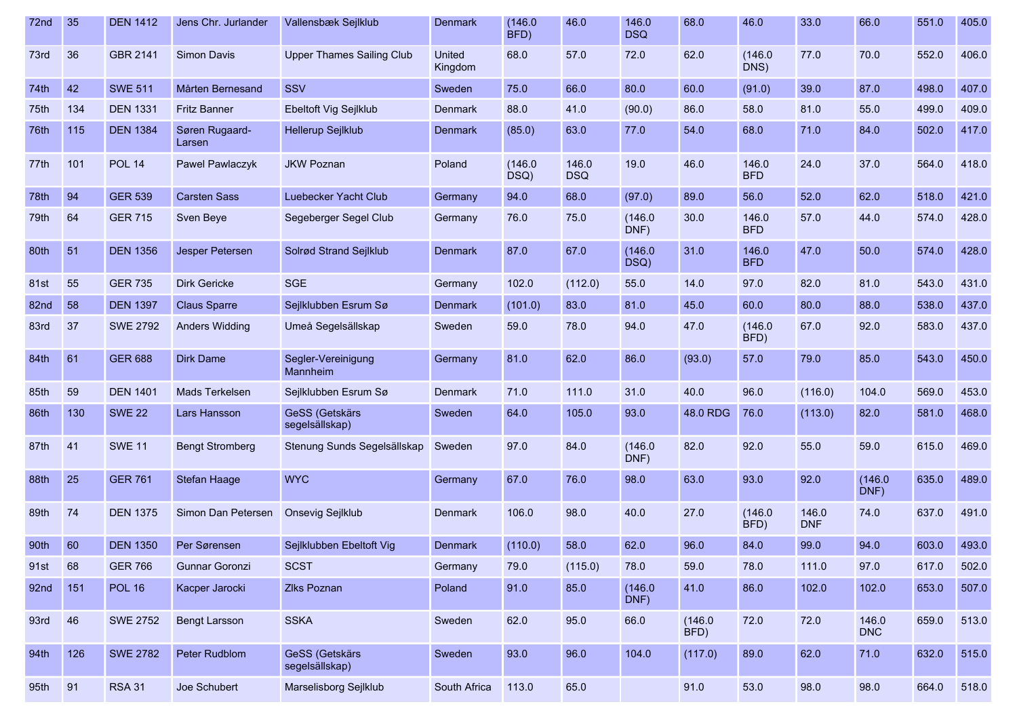| 72nd | 35  | <b>DEN 1412</b> | Jens Chr. Jurlander      | Vallensbæk Sejlklub                     | Denmark                  | (146.0)<br>BFD) | 46.0                | 146.0<br><b>DSQ</b> | 68.0            | 46.0                | 33.0                | 66.0                | 551.0 | 405.0 |
|------|-----|-----------------|--------------------------|-----------------------------------------|--------------------------|-----------------|---------------------|---------------------|-----------------|---------------------|---------------------|---------------------|-------|-------|
| 73rd | 36  | <b>GBR 2141</b> | <b>Simon Davis</b>       | <b>Upper Thames Sailing Club</b>        | <b>United</b><br>Kingdom | 68.0            | 57.0                | 72.0                | 62.0            | (146.0)<br>DNS)     | 77.0                | 70.0                | 552.0 | 406.0 |
| 74th | 42  | <b>SWE 511</b>  | Mårten Bernesand         | SSV                                     | Sweden                   | 75.0            | 66.0                | 80.0                | 60.0            | (91.0)              | 39.0                | 87.0                | 498.0 | 407.0 |
| 75th | 134 | <b>DEN 1331</b> | <b>Fritz Banner</b>      | Ebeltoft Vig Sejlklub                   | Denmark                  | 88.0            | 41.0                | (90.0)              | 86.0            | 58.0                | 81.0                | 55.0                | 499.0 | 409.0 |
| 76th | 115 | <b>DEN 1384</b> | Søren Rugaard-<br>Larsen | Hellerup Sejlklub                       | Denmark                  | (85.0)          | 63.0                | 77.0                | 54.0            | 68.0                | 71.0                | 84.0                | 502.0 | 417.0 |
| 77th | 101 | <b>POL 14</b>   | Pawel Pawlaczyk          | <b>JKW Poznan</b>                       | Poland                   | (146.0)<br>DSQ) | 146.0<br><b>DSQ</b> | 19.0                | 46.0            | 146.0<br><b>BFD</b> | 24.0                | 37.0                | 564.0 | 418.0 |
| 78th | 94  | <b>GER 539</b>  | <b>Carsten Sass</b>      | Luebecker Yacht Club                    | Germany                  | 94.0            | 68.0                | (97.0)              | 89.0            | 56.0                | 52.0                | 62.0                | 518.0 | 421.0 |
| 79th | 64  | <b>GER 715</b>  | Sven Beye                | Segeberger Segel Club                   | Germany                  | 76.0            | 75.0                | (146.0)<br>DNF)     | 30.0            | 146.0<br><b>BFD</b> | 57.0                | 44.0                | 574.0 | 428.0 |
| 80th | 51  | <b>DEN 1356</b> | Jesper Petersen          | Solrød Strand Sejlklub                  | <b>Denmark</b>           | 87.0            | 67.0                | (146.0)<br>DSQ)     | 31.0            | 146.0<br><b>BFD</b> | 47.0                | 50.0                | 574.0 | 428.0 |
| 81st | 55  | <b>GER 735</b>  | <b>Dirk Gericke</b>      | <b>SGE</b>                              | Germany                  | 102.0           | (112.0)             | 55.0                | 14.0            | 97.0                | 82.0                | 81.0                | 543.0 | 431.0 |
| 82nd | 58  | <b>DEN 1397</b> | <b>Claus Sparre</b>      | Sejlklubben Esrum Sø                    | <b>Denmark</b>           | (101.0)         | 83.0                | 81.0                | 45.0            | 60.0                | 80.0                | 88.0                | 538.0 | 437.0 |
| 83rd | 37  | <b>SWE 2792</b> | <b>Anders Widding</b>    | Umeå Segelsällskap                      | Sweden                   | 59.0            | 78.0                | 94.0                | 47.0            | (146.0)<br>BFD)     | 67.0                | 92.0                | 583.0 | 437.0 |
| 84th | 61  | <b>GER 688</b>  | <b>Dirk Dame</b>         | Segler-Vereinigung<br>Mannheim          | Germany                  | 81.0            | 62.0                | 86.0                | (93.0)          | 57.0                | 79.0                | 85.0                | 543.0 | 450.0 |
| 85th | 59  | <b>DEN 1401</b> | Mads Terkelsen           | Sejlklubben Esrum Sø                    | <b>Denmark</b>           | 71.0            | 111.0               | 31.0                | 40.0            | 96.0                | (116.0)             | 104.0               | 569.0 | 453.0 |
| 86th | 130 | <b>SWE 22</b>   | Lars Hansson             | <b>GeSS (Getskärs</b><br>segelsällskap) | Sweden                   | 64.0            | 105.0               | 93.0                | 48.0 RDG        | 76.0                | (113.0)             | 82.0                | 581.0 | 468.0 |
| 87th | 41  | <b>SWE 11</b>   | <b>Bengt Stromberg</b>   | Stenung Sunds Segelsällskap             | Sweden                   | 97.0            | 84.0                | (146.0)<br>DNF)     | 82.0            | 92.0                | 55.0                | 59.0                | 615.0 | 469.0 |
| 88th | 25  | <b>GER 761</b>  | Stefan Haage             | <b>WYC</b>                              | Germany                  | 67.0            | 76.0                | 98.0                | 63.0            | 93.0                | 92.0                | (146.0)<br>DNF)     | 635.0 | 489.0 |
| 89th | 74  | <b>DEN 1375</b> | Simon Dan Petersen       | Onsevig Sejlklub                        | Denmark                  | 106.0           | 98.0                | 40.0                | 27.0            | (146.0)<br>BFD)     | 146.0<br><b>DNF</b> | 74.0                | 637.0 | 491.0 |
| 90th | 60  | <b>DEN 1350</b> | Per Sørensen             | Sejlklubben Ebeltoft Vig                | Denmark                  | (110.0)         | 58.0                | 62.0                | 96.0            | 84.0                | 99.0                | 94.0                | 603.0 | 493.0 |
| 91st | 68  | <b>GER 766</b>  | Gunnar Goronzi           | <b>SCST</b>                             | Germany                  | 79.0            | (115.0)             | 78.0                | 59.0            | 78.0                | 111.0               | 97.0                | 617.0 | 502.0 |
| 92nd | 151 | <b>POL 16</b>   | Kacper Jarocki           | <b>Zlks Poznan</b>                      | Poland                   | 91.0            | 85.0                | (146.0)<br>DNF)     | 41.0            | 86.0                | 102.0               | 102.0               | 653.0 | 507.0 |
| 93rd | 46  | <b>SWE 2752</b> | <b>Bengt Larsson</b>     | <b>SSKA</b>                             | Sweden                   | 62.0            | 95.0                | 66.0                | (146.0)<br>BFD) | 72.0                | 72.0                | 146.0<br><b>DNC</b> | 659.0 | 513.0 |
| 94th | 126 | <b>SWE 2782</b> | Peter Rudblom            | GeSS (Getskärs<br>segelsällskap)        | Sweden                   | 93.0            | 96.0                | 104.0               | (117.0)         | 89.0                | 62.0                | 71.0                | 632.0 | 515.0 |
| 95th | 91  | <b>RSA 31</b>   | Joe Schubert             | Marselisborg Sejlklub                   | South Africa             | 113.0           | 65.0                |                     | 91.0            | 53.0                | 98.0                | 98.0                | 664.0 | 518.0 |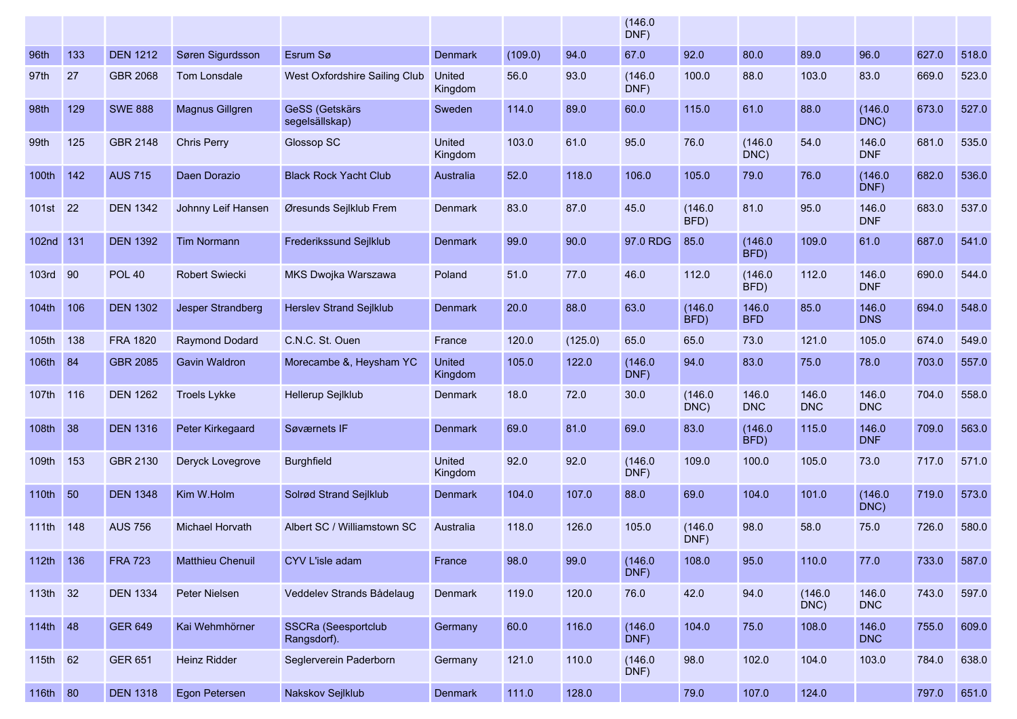|                   |     |                 |                         |                                           |                          |         |         | (146.0)<br>DNF) |                 |                     |                     |                     |       |       |
|-------------------|-----|-----------------|-------------------------|-------------------------------------------|--------------------------|---------|---------|-----------------|-----------------|---------------------|---------------------|---------------------|-------|-------|
| 96th              | 133 | <b>DEN 1212</b> | Søren Sigurdsson        | Esrum Sø                                  | <b>Denmark</b>           | (109.0) | 94.0    | 67.0            | 92.0            | 80.0                | 89.0                | 96.0                | 627.0 | 518.0 |
| 97th              | 27  | GBR 2068        | Tom Lonsdale            | West Oxfordshire Sailing Club             | United<br>Kingdom        | 56.0    | 93.0    | (146.0)<br>DNF) | 100.0           | 88.0                | 103.0               | 83.0                | 669.0 | 523.0 |
| 98th              | 129 | <b>SWE 888</b>  | Magnus Gillgren         | GeSS (Getskärs<br>segelsällskap)          | Sweden                   | 114.0   | 89.0    | 60.0            | 115.0           | 61.0                | 88.0                | (146.0)<br>DNC)     | 673.0 | 527.0 |
| 99th              | 125 | GBR 2148        | <b>Chris Perry</b>      | Glossop SC                                | United<br>Kingdom        | 103.0   | 61.0    | 95.0            | 76.0            | (146.0)<br>DNC)     | 54.0                | 146.0<br><b>DNF</b> | 681.0 | 535.0 |
| 100th             | 142 | <b>AUS 715</b>  | Daen Dorazio            | <b>Black Rock Yacht Club</b>              | Australia                | 52.0    | 118.0   | 106.0           | 105.0           | 79.0                | 76.0                | (146.0)<br>DNF)     | 682.0 | 536.0 |
| 101st             | 22  | <b>DEN 1342</b> | Johnny Leif Hansen      | Øresunds Sejlklub Frem                    | <b>Denmark</b>           | 83.0    | 87.0    | 45.0            | (146.0)<br>BFD) | 81.0                | 95.0                | 146.0<br><b>DNF</b> | 683.0 | 537.0 |
| 102nd             | 131 | <b>DEN 1392</b> | <b>Tim Normann</b>      | Frederikssund Sejlklub                    | <b>Denmark</b>           | 99.0    | 90.0    | 97.0 RDG        | 85.0            | (146.0)<br>BFD)     | 109.0               | 61.0                | 687.0 | 541.0 |
| <b>103rd</b>      | 90  | <b>POL 40</b>   | Robert Swiecki          | MKS Dwojka Warszawa                       | Poland                   | 51.0    | 77.0    | 46.0            | 112.0           | (146.0)<br>BFD)     | 112.0               | 146.0<br><b>DNF</b> | 690.0 | 544.0 |
| 104th             | 106 | <b>DEN 1302</b> | Jesper Strandberg       | <b>Herslev Strand Sejlklub</b>            | <b>Denmark</b>           | 20.0    | 88.0    | 63.0            | (146.0)<br>BFD) | 146.0<br><b>BFD</b> | 85.0                | 146.0<br><b>DNS</b> | 694.0 | 548.0 |
| 105 <sub>th</sub> | 138 | <b>FRA 1820</b> | Raymond Dodard          | C.N.C. St. Ouen                           | France                   | 120.0   | (125.0) | 65.0            | 65.0            | 73.0                | 121.0               | 105.0               | 674.0 | 549.0 |
| 106th 84          |     | <b>GBR 2085</b> | <b>Gavin Waldron</b>    | Morecambe &, Heysham YC                   | United<br>Kingdom        | 105.0   | 122.0   | (146.0)<br>DNF) | 94.0            | 83.0                | 75.0                | 78.0                | 703.0 | 557.0 |
| 107th             | 116 | <b>DEN 1262</b> | <b>Troels Lykke</b>     | Hellerup Sejlklub                         | <b>Denmark</b>           | 18.0    | 72.0    | 30.0            | (146.0)<br>DNC) | 146.0<br><b>DNC</b> | 146.0<br><b>DNC</b> | 146.0<br><b>DNC</b> | 704.0 | 558.0 |
| 108th 38          |     | <b>DEN 1316</b> | Peter Kirkegaard        | Søværnets IF                              | <b>Denmark</b>           | 69.0    | 81.0    | 69.0            | 83.0            | (146.0)<br>BFD)     | 115.0               | 146.0<br><b>DNF</b> | 709.0 | 563.0 |
| 109th             | 153 | GBR 2130        | Deryck Lovegrove        | <b>Burghfield</b>                         | <b>United</b><br>Kingdom | 92.0    | 92.0    | (146.0)<br>DNF) | 109.0           | 100.0               | 105.0               | 73.0                | 717.0 | 571.0 |
| 110th 50          |     | <b>DEN 1348</b> | Kim W.Holm              | Solrød Strand Sejlklub                    | <b>Denmark</b>           | 104.0   | 107.0   | 88.0            | 69.0            | 104.0               | 101.0               | (146.0)<br>DNC)     | 719.0 | 573.0 |
| 111th 148         |     | <b>AUS 756</b>  | <b>Michael Horvath</b>  | Albert SC / Williamstown SC               | Australia                | 118.0   | 126.0   | 105.0           | (146.0)<br>DNF) | 98.0                | 58.0                | 75.0                | 726.0 | 580.0 |
| 112th 136         |     | <b>FRA 723</b>  | <b>Matthieu Chenuil</b> | CYV L'isle adam                           | France                   | 98.0    | 99.0    | (146.0)<br>DNF) | 108.0           | 95.0                | 110.0               | 77.0                | 733.0 | 587.0 |
| 113th 32          |     | <b>DEN 1334</b> | Peter Nielsen           | Veddelev Strands Bådelaug                 | Denmark                  | 119.0   | 120.0   | 76.0            | 42.0            | 94.0                | (146.0)<br>DNC)     | 146.0<br><b>DNC</b> | 743.0 | 597.0 |
| 114th 48          |     | <b>GER 649</b>  | Kai Wehmhörner          | <b>SSCRa (Seesportclub</b><br>Rangsdorf). | Germany                  | 60.0    | 116.0   | (146.0)<br>DNF) | 104.0           | 75.0                | 108.0               | 146.0<br><b>DNC</b> | 755.0 | 609.0 |
| 115th 62          |     | <b>GER 651</b>  | Heinz Ridder            | Seglerverein Paderborn                    | Germany                  | 121.0   | 110.0   | (146.0)<br>DNF) | 98.0            | 102.0               | 104.0               | 103.0               | 784.0 | 638.0 |
| 116th 80          |     | <b>DEN 1318</b> | Egon Petersen           | Nakskov Sejlklub                          | Denmark                  | 111.0   | 128.0   |                 | 79.0            | 107.0               | 124.0               |                     | 797.0 | 651.0 |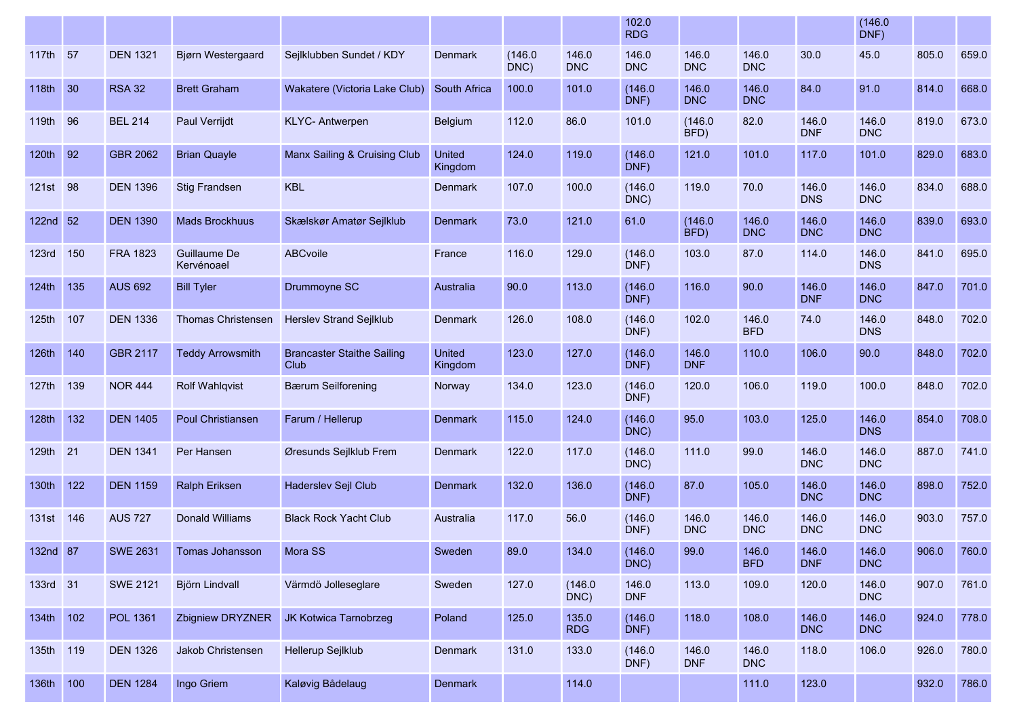|                   |     |                 |                            |                                           |                          |                 |                     | 102.0<br><b>RDG</b> |                     |                     |                     | (146.0)<br>DNF)     |       |       |
|-------------------|-----|-----------------|----------------------------|-------------------------------------------|--------------------------|-----------------|---------------------|---------------------|---------------------|---------------------|---------------------|---------------------|-------|-------|
| 117th 57          |     | <b>DEN 1321</b> | <b>Bjørn Westergaard</b>   | Sejlklubben Sundet / KDY                  | Denmark                  | (146.0)<br>DNC) | 146.0<br><b>DNC</b> | 146.0<br><b>DNC</b> | 146.0<br><b>DNC</b> | 146.0<br><b>DNC</b> | 30.0                | 45.0                | 805.0 | 659.0 |
| 118th 30          |     | <b>RSA 32</b>   | <b>Brett Graham</b>        | Wakatere (Victoria Lake Club)             | South Africa             | 100.0           | 101.0               | (146.0)<br>DNF)     | 146.0<br><b>DNC</b> | 146.0<br><b>DNC</b> | 84.0                | 91.0                | 814.0 | 668.0 |
| 119th             | 96  | <b>BEL 214</b>  | <b>Paul Verrijdt</b>       | <b>KLYC-Antwerpen</b>                     | Belgium                  | 112.0           | 86.0                | 101.0               | (146.0)<br>BFD)     | 82.0                | 146.0<br><b>DNF</b> | 146.0<br><b>DNC</b> | 819.0 | 673.0 |
| 120 <sub>th</sub> | 92  | <b>GBR 2062</b> | <b>Brian Quayle</b>        | Manx Sailing & Cruising Club              | <b>United</b><br>Kingdom | 124.0           | 119.0               | (146.0)<br>DNF)     | 121.0               | 101.0               | 117.0               | 101.0               | 829.0 | 683.0 |
| 121st             | 98  | <b>DEN 1396</b> | <b>Stig Frandsen</b>       | <b>KBL</b>                                | <b>Denmark</b>           | 107.0           | 100.0               | (146.0)<br>DNC)     | 119.0               | 70.0                | 146.0<br><b>DNS</b> | 146.0<br><b>DNC</b> | 834.0 | 688.0 |
| 122nd 52          |     | <b>DEN 1390</b> | <b>Mads Brockhuus</b>      | Skælskør Amatør Sejlklub                  | <b>Denmark</b>           | 73.0            | 121.0               | 61.0                | (146.0)<br>BFD)     | 146.0<br><b>DNC</b> | 146.0<br><b>DNC</b> | 146.0<br><b>DNC</b> | 839.0 | 693.0 |
| 123rd             | 150 | <b>FRA 1823</b> | Guillaume De<br>Kervénoael | <b>ABCvoile</b>                           | France                   | 116.0           | 129.0               | (146.0)<br>DNF)     | 103.0               | 87.0                | 114.0               | 146.0<br><b>DNS</b> | 841.0 | 695.0 |
| 124th             | 135 | <b>AUS 692</b>  | <b>Bill Tyler</b>          | Drummoyne SC                              | Australia                | 90.0            | 113.0               | (146.0)<br>DNF)     | 116.0               | 90.0                | 146.0<br><b>DNF</b> | 146.0<br><b>DNC</b> | 847.0 | 701.0 |
| 125th             | 107 | <b>DEN 1336</b> | <b>Thomas Christensen</b>  | <b>Herslev Strand Sejlklub</b>            | Denmark                  | 126.0           | 108.0               | (146.0)<br>DNF)     | 102.0               | 146.0<br><b>BFD</b> | 74.0                | 146.0<br><b>DNS</b> | 848.0 | 702.0 |
| 126th             | 140 | GBR 2117        | <b>Teddy Arrowsmith</b>    | <b>Brancaster Staithe Sailing</b><br>Club | <b>United</b><br>Kingdom | 123.0           | 127.0               | (146.0)<br>DNF)     | 146.0<br><b>DNF</b> | 110.0               | 106.0               | 90.0                | 848.0 | 702.0 |
| 127th 139         |     | <b>NOR 444</b>  | <b>Rolf Wahlqvist</b>      | <b>Bærum Seilforening</b>                 | Norway                   | 134.0           | 123.0               | (146.0)<br>DNF)     | 120.0               | 106.0               | 119.0               | 100.0               | 848.0 | 702.0 |
| 128th             | 132 | <b>DEN 1405</b> | Poul Christiansen          | Farum / Hellerup                          | Denmark                  | 115.0           | 124.0               | (146.0)<br>DNC)     | 95.0                | 103.0               | 125.0               | 146.0<br><b>DNS</b> | 854.0 | 708.0 |
| 129th             | 21  | <b>DEN 1341</b> | Per Hansen                 | Øresunds Sejlklub Frem                    | <b>Denmark</b>           | 122.0           | 117.0               | (146.0)<br>DNC)     | 111.0               | 99.0                | 146.0<br><b>DNC</b> | 146.0<br><b>DNC</b> | 887.0 | 741.0 |
| 130th             | 122 | <b>DEN 1159</b> | Ralph Eriksen              | Haderslev Sejl Club                       | <b>Denmark</b>           | 132.0           | 136.0               | (146.0)<br>DNF)     | 87.0                | 105.0               | 146.0<br><b>DNC</b> | 146.0<br><b>DNC</b> | 898.0 | 752.0 |
| 131st             | 146 | <b>AUS 727</b>  | <b>Donald Williams</b>     | <b>Black Rock Yacht Club</b>              | Australia                | 117.0           | 56.0                | (146.0)<br>DNF)     | 146.0<br><b>DNC</b> | 146.0<br><b>DNC</b> | 146.0<br><b>DNC</b> | 146.0<br><b>DNC</b> | 903.0 | 757.0 |
| 132nd 87          |     | <b>SWE 2631</b> | Tomas Johansson            | Mora SS                                   | Sweden                   | 89.0            | 134.0               | (146.0)<br>DNC)     | 99.0                | 146.0<br><b>BFD</b> | 146.0<br><b>DNF</b> | 146.0<br><b>DNC</b> | 906.0 | 760.0 |
| 133rd 31          |     | <b>SWE 2121</b> | Björn Lindvall             | Värmdö Jolleseglare                       | Sweden                   | 127.0           | (146.0)<br>DNC)     | 146.0<br><b>DNF</b> | 113.0               | 109.0               | 120.0               | 146.0<br><b>DNC</b> | 907.0 | 761.0 |
| 134th 102         |     | <b>POL 1361</b> | Zbigniew DRYZNER           | JK Kotwica Tarnobrzeg                     | Poland                   | 125.0           | 135.0<br><b>RDG</b> | (146.0)<br>DNF)     | 118.0               | 108.0               | 146.0<br><b>DNC</b> | 146.0<br><b>DNC</b> | 924.0 | 778.0 |
| 135th 119         |     | <b>DEN 1326</b> | Jakob Christensen          | Hellerup Sejlklub                         | Denmark                  | 131.0           | 133.0               | (146.0)<br>DNF)     | 146.0<br><b>DNF</b> | 146.0<br><b>DNC</b> | 118.0               | 106.0               | 926.0 | 780.0 |
| 136th 100         |     | <b>DEN 1284</b> | Ingo Griem                 | Kaløvig Bådelaug                          | Denmark                  |                 | 114.0               |                     |                     | 111.0               | 123.0               |                     | 932.0 | 786.0 |